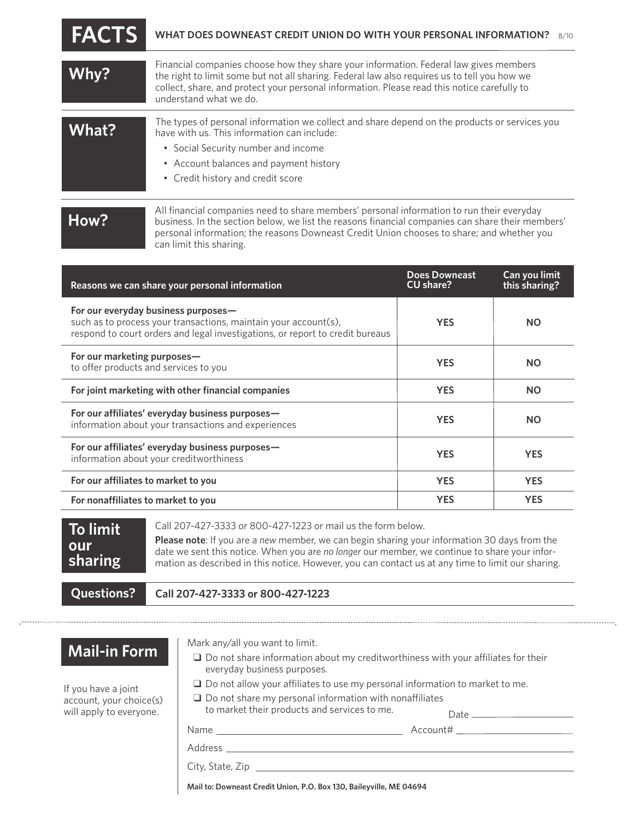| <b>FACTS</b> | WHAT DOES DOWNEAST CREDIT UNION DO WITH YOUR PERSONAL INFORMATION?<br>8/10                                                                                                                                                                                                                                     |
|--------------|----------------------------------------------------------------------------------------------------------------------------------------------------------------------------------------------------------------------------------------------------------------------------------------------------------------|
| Why?         | Financial companies choose how they share your information. Federal law gives members<br>the right to limit some but not all sharing. Federal law also requires us to tell you how we<br>collect, share, and protect your personal information. Please read this notice carefully to<br>understand what we do. |
| What?        | The types of personal information we collect and share depend on the products or services you<br>have with us. This information can include:<br>• Social Security number and income<br>• Account balances and payment history<br>• Credit history and credit score                                             |
| How?         | All financial companies need to share members' personal information to run their everyday<br>business. In the section below, we list the reasons financial companies can share their members'<br>personal information; the reasons Downeast Credit Union chooses to share; and whether you                     |

| Reasons we can share your personal information                                                                                                                                          | <b>Does Downeast</b><br>CU share? | Can you limit<br>this sharing? |
|-----------------------------------------------------------------------------------------------------------------------------------------------------------------------------------------|-----------------------------------|--------------------------------|
| For our everyday business purposes-<br>such as to process your transactions, maintain your account(s),<br>respond to court orders and legal investigations, or report to credit bureaus | <b>YES</b>                        | <b>NO</b>                      |
| For our marketing purposes-<br>to offer products and services to you                                                                                                                    | <b>YES</b>                        | <b>NO</b>                      |
| For joint marketing with other financial companies                                                                                                                                      | <b>YES</b>                        | <b>NO</b>                      |
| For our affiliates' everyday business purposes—<br>information about your transactions and experiences                                                                                  | <b>YES</b>                        | <b>NO</b>                      |
| For our affiliates' everyday business purposes—<br>information about your creditworthiness                                                                                              | <b>YES</b>                        | <b>YES</b>                     |
| For our affiliates to market to you                                                                                                                                                     | <b>YES</b>                        | <b>YES</b>                     |
| For nonaffiliates to market to you                                                                                                                                                      | <b>YES</b>                        | <b>YES</b>                     |

| <b>Ouestions?</b>                       | Call 207-427-3333 or 800-427-1223                                                                                                                                                                                                                                                                         |  |
|-----------------------------------------|-----------------------------------------------------------------------------------------------------------------------------------------------------------------------------------------------------------------------------------------------------------------------------------------------------------|--|
| our<br>$\overline{\phantom{a}}$ sharing | <b>Please note:</b> If you are a new member, we can begin sharing your information 30 days from the<br>date we sent this notice. When you are no longer our member, we continue to share your infor-<br>mation as described in this notice. However, you can contact us at any time to limit our sharing. |  |
| $\sqrt{}$ To limit $\sqrt{}$            | Call 207-427-3333 or 800-427-1223 or mail us the form below.                                                                                                                                                                                                                                              |  |

**Call 207-427-3333 or 800-427-1223**

can limit this sharing.

## **Mail-in Form**

If you have a joint account, your choice(s) will apply to everyone.

Mark any/all you want to limit.

- $\square$  Do not share information about my creditworthiness with your affiliates for their everyday business purposes.
- □ Do not allow your affiliates to use my personal information to market to me.
- $\square$  Do not share my personal information with nonaffiliates to market their products and services to me.

Name Account#

Date

Address

City, State, Zip

**Mail to: Down**e**ast Credit Union, P.O. Box 130, Baileyville, ME 04694**